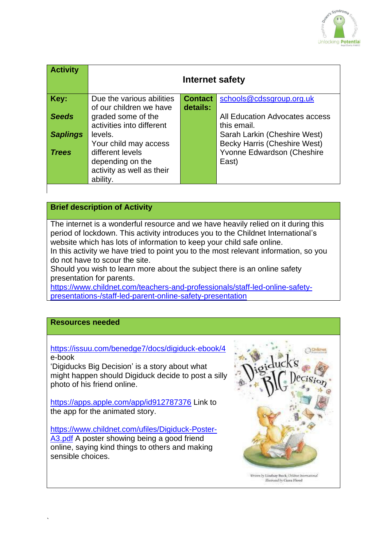

| <b>Activity</b> | Internet safety           |                |                                     |
|-----------------|---------------------------|----------------|-------------------------------------|
| Key:            | Due the various abilities | <b>Contact</b> | schools@cdssgroup.org.uk            |
|                 | of our children we have   | details:       |                                     |
| <b>Seeds</b>    | graded some of the        |                | All Education Advocates access      |
|                 | activities into different |                | this email.                         |
| <b>Saplings</b> | levels.                   |                | Sarah Larkin (Cheshire West)        |
|                 | Your child may access     |                | <b>Becky Harris (Cheshire West)</b> |
| <b>Trees</b>    | different levels          |                | Yvonne Edwardson (Cheshire          |
|                 | depending on the          |                | East)                               |
|                 | activity as well as their |                |                                     |
|                 | ability.                  |                |                                     |

# **Brief description of Activity**

The internet is a wonderful resource and we have heavily relied on it during this period of lockdown. This activity introduces you to the Childnet International's website which has lots of information to keep your child safe online.

In this activity we have tried to point you to the most relevant information, so you do not have to scour the site.

Should you wish to learn more about the subject there is an online safety presentation for parents.

[https://www.childnet.com/teachers-and-professionals/staff-led-online-safety](https://www.childnet.com/teachers-and-professionals/staff-led-online-safety-presentations-/staff-led-parent-online-safety-presentation)[presentations-/staff-led-parent-online-safety-presentation](https://www.childnet.com/teachers-and-professionals/staff-led-online-safety-presentations-/staff-led-parent-online-safety-presentation)

# **Resources needed**

<https://issuu.com/benedge7/docs/digiduck-ebook/4> e-book

'Digiducks Big Decision' is a story about what might happen should Digiduck decide to post a silly photo of his friend online.

<https://apps.apple.com/app/id912787376> Link to the app for the animated story.

[https://www.childnet.com/ufiles/Digiduck-Poster-](https://www.childnet.com/ufiles/Digiduck-Poster-A3.pdf)[A3.pdf](https://www.childnet.com/ufiles/Digiduck-Poster-A3.pdf) A poster showing being a good friend online, saying kind things to others and making sensible choices.



Motrand by Ciara Flood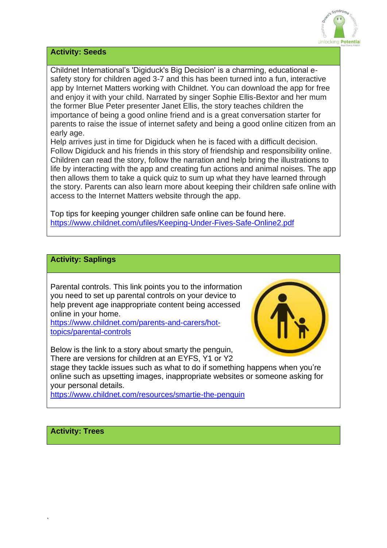

#### **Activity: Seeds**

Childnet International's 'Digiduck's Big Decision' is a charming, educational esafety story for children aged 3-7 and this has been turned into a fun, interactive app by Internet Matters working with Childnet. You can download the app for free and enjoy it with your child. Narrated by singer Sophie Ellis-Bextor and her mum the former Blue Peter presenter Janet Ellis, the story teaches children the importance of being a good online friend and is a great conversation starter for parents to raise the issue of internet safety and being a good online citizen from an early age.

Help arrives just in time for Digiduck when he is faced with a difficult decision. Follow Digiduck and his friends in this story of friendship and responsibility online. Children can read the story, follow the narration and help bring the illustrations to life by interacting with the app and creating fun actions and animal noises. The app then allows them to take a quick quiz to sum up what they have learned through the story. Parents can also learn more about keeping their children safe online with access to the Internet Matters website through the app.

Top tips for keeping younger children safe online can be found here. <https://www.childnet.com/ufiles/Keeping-Under-Fives-Safe-Online2.pdf>

# **Activity: Saplings**

Parental controls. This link points you to the information you need to set up parental controls on your device to help prevent age inappropriate content being accessed online in your home.

[https://www.childnet.com/parents-and-carers/hot](https://www.childnet.com/parents-and-carers/hot-topics/parental-controls)[topics/parental-controls](https://www.childnet.com/parents-and-carers/hot-topics/parental-controls) 

Below is the link to a story about smarty the penguin, There are versions for children at an EYFS, Y1 or Y2

stage they tackle issues such as what to do if something happens when you're online such as upsetting images, inappropriate websites or someone asking for your personal details.

<https://www.childnet.com/resources/smartie-the-penguin>

# **Activity: Trees**

`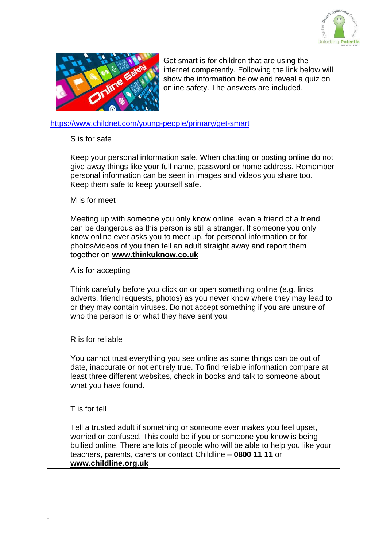



Get smart is for children that are using the internet competently. Following the link below will show the information below and reveal a quiz on online safety. The answers are included.

#### <https://www.childnet.com/young-people/primary/get-smart>

#### S is for safe

Keep your personal information safe. When chatting or posting online do not give away things like your full name, password or home address. Remember personal information can be seen in images and videos you share too. Keep them safe to keep yourself safe.

#### M is for meet

Meeting up with someone you only know online, even a friend of a friend, can be dangerous as this person is still a stranger. If someone you only know online ever asks you to meet up, for personal information or for photos/videos of you then tell an adult straight away and report them together on **[www.thinkuknow.co.uk](http://www.thinkuknow.co.uk/)**

### A is for accepting

Think carefully before you click on or open something online (e.g. links, adverts, friend requests, photos) as you never know where they may lead to or they may contain viruses. Do not accept something if you are unsure of who the person is or what they have sent you.

# R is for reliable

You cannot trust everything you see online as some things can be out of date, inaccurate or not entirely true. To find reliable information compare at least three different websites, check in books and talk to someone about what you have found.

# T is for tell

`

Tell a trusted adult if something or someone ever makes you feel upset, worried or confused. This could be if you or someone you know is being bullied online. There are lots of people who will be able to help you like your teachers, parents, carers or contact Childline – **0800 11 11** or **[www.childline.org.uk](http://www.childline.org.uk/)**